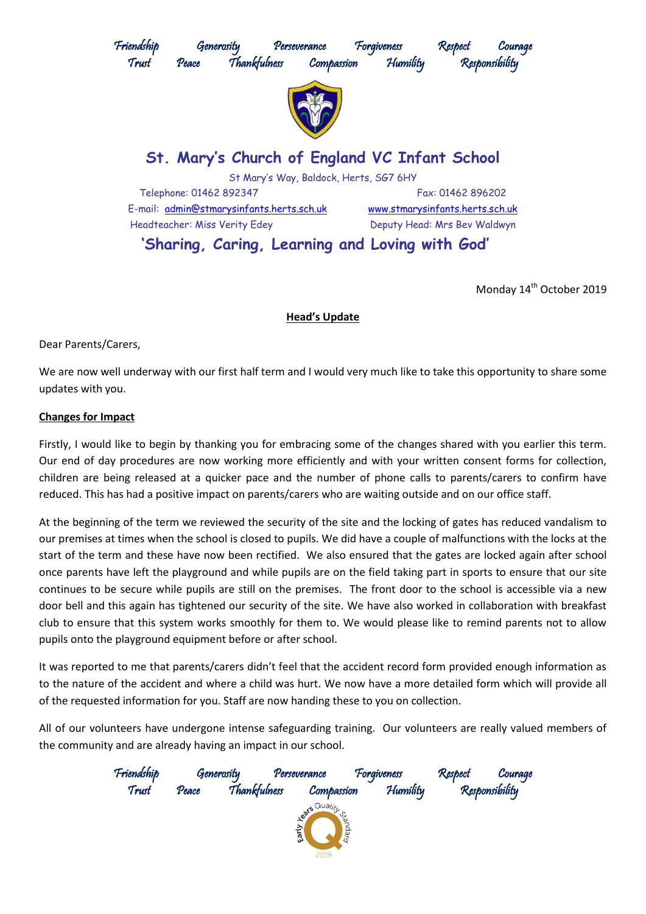

Monday 14<sup>th</sup> October 2019

## **Head's Update**

Dear Parents/Carers,

We are now well underway with our first half term and I would very much like to take this opportunity to share some updates with you.

## **Changes for Impact**

Firstly, I would like to begin by thanking you for embracing some of the changes shared with you earlier this term. Our end of day procedures are now working more efficiently and with your written consent forms for collection, children are being released at a quicker pace and the number of phone calls to parents/carers to confirm have reduced. This has had a positive impact on parents/carers who are waiting outside and on our office staff.

At the beginning of the term we reviewed the security of the site and the locking of gates has reduced vandalism to our premises at times when the school is closed to pupils. We did have a couple of malfunctions with the locks at the start of the term and these have now been rectified. We also ensured that the gates are locked again after school once parents have left the playground and while pupils are on the field taking part in sports to ensure that our site continues to be secure while pupils are still on the premises. The front door to the school is accessible via a new door bell and this again has tightened our security of the site. We have also worked in collaboration with breakfast club to ensure that this system works smoothly for them to. We would please like to remind parents not to allow pupils onto the playground equipment before or after school.

It was reported to me that parents/carers didn't feel that the accident record form provided enough information as to the nature of the accident and where a child was hurt. We now have a more detailed form which will provide all of the requested information for you. Staff are now handing these to you on collection.

All of our volunteers have undergone intense safeguarding training. Our volunteers are really valued members of the community and are already having an impact in our school.

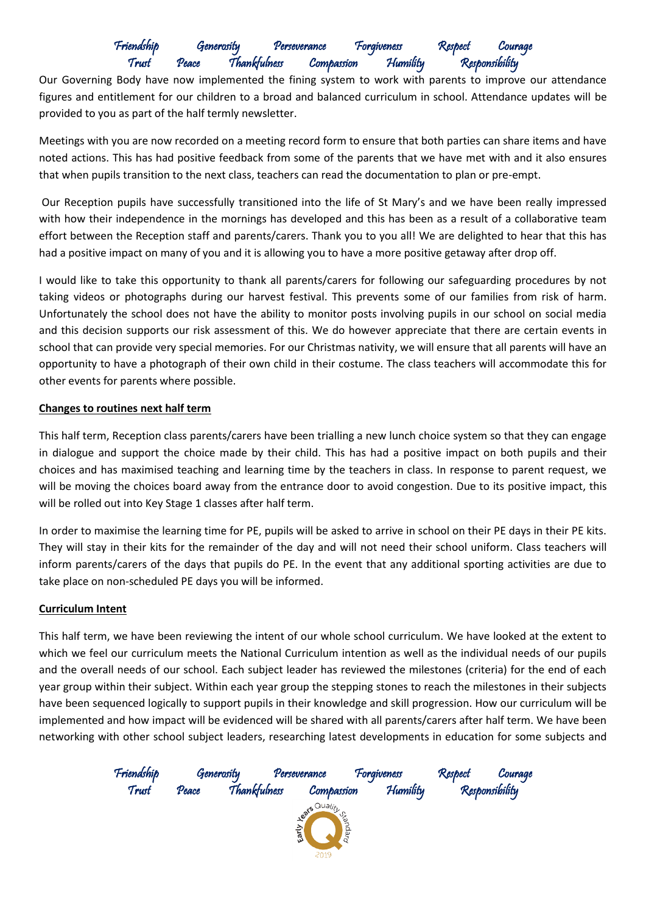# Friendship Generosity Perseverance Forgiveness Respect Courage Thankfulness Compassion Humility Responsibility

Our Governing Body have now implemented the fining system to work with parents to improve our attendance figures and entitlement for our children to a broad and balanced curriculum in school. Attendance updates will be provided to you as part of the half termly newsletter.

Meetings with you are now recorded on a meeting record form to ensure that both parties can share items and have noted actions. This has had positive feedback from some of the parents that we have met with and it also ensures that when pupils transition to the next class, teachers can read the documentation to plan or pre-empt.

Our Reception pupils have successfully transitioned into the life of St Mary's and we have been really impressed with how their independence in the mornings has developed and this has been as a result of a collaborative team effort between the Reception staff and parents/carers. Thank you to you all! We are delighted to hear that this has had a positive impact on many of you and it is allowing you to have a more positive getaway after drop off.

I would like to take this opportunity to thank all parents/carers for following our safeguarding procedures by not taking videos or photographs during our harvest festival. This prevents some of our families from risk of harm. Unfortunately the school does not have the ability to monitor posts involving pupils in our school on social media and this decision supports our risk assessment of this. We do however appreciate that there are certain events in school that can provide very special memories. For our Christmas nativity, we will ensure that all parents will have an opportunity to have a photograph of their own child in their costume. The class teachers will accommodate this for other events for parents where possible.

## **Changes to routines next half term**

This half term, Reception class parents/carers have been trialling a new lunch choice system so that they can engage in dialogue and support the choice made by their child. This has had a positive impact on both pupils and their choices and has maximised teaching and learning time by the teachers in class. In response to parent request, we will be moving the choices board away from the entrance door to avoid congestion. Due to its positive impact, this will be rolled out into Key Stage 1 classes after half term.

In order to maximise the learning time for PE, pupils will be asked to arrive in school on their PE days in their PE kits. They will stay in their kits for the remainder of the day and will not need their school uniform. Class teachers will inform parents/carers of the days that pupils do PE. In the event that any additional sporting activities are due to take place on non-scheduled PE days you will be informed.

## **Curriculum Intent**

This half term, we have been reviewing the intent of our whole school curriculum. We have looked at the extent to which we feel our curriculum meets the National Curriculum intention as well as the individual needs of our pupils and the overall needs of our school. Each subject leader has reviewed the milestones (criteria) for the end of each year group within their subject. Within each year group the stepping stones to reach the milestones in their subjects have been sequenced logically to support pupils in their knowledge and skill progression. How our curriculum will be implemented and how impact will be evidenced will be shared with all parents/carers after half term. We have been networking with other school subject leaders, researching latest developments in education for some subjects and

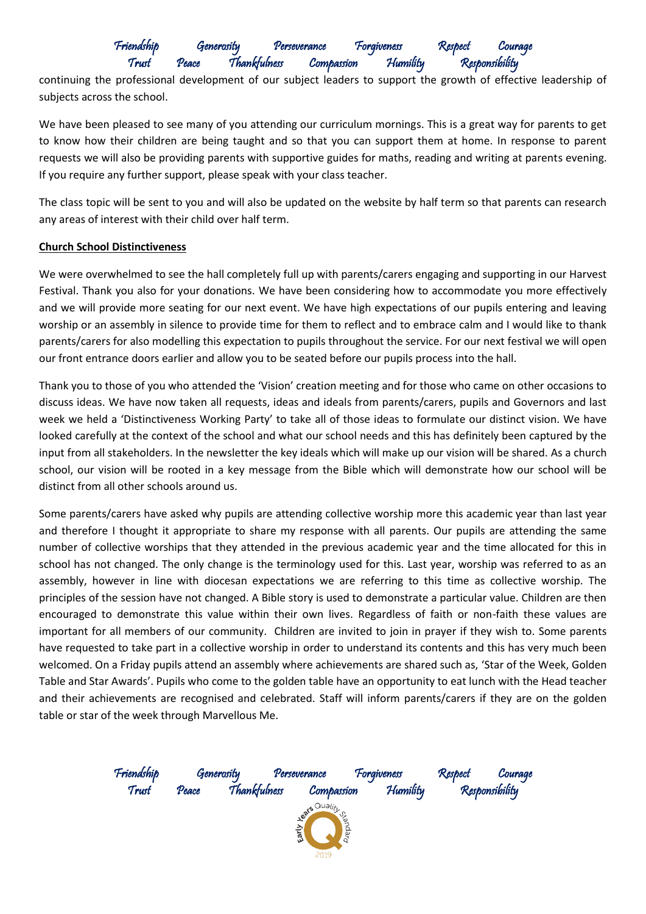# Friendship Generosity Perseverance Forgiveness Respect Courage Thankfulness Compassion Humility Responsibility

continuing the professional development of our subject leaders to support the growth of effective leadership of subjects across the school.

We have been pleased to see many of you attending our curriculum mornings. This is a great way for parents to get to know how their children are being taught and so that you can support them at home. In response to parent requests we will also be providing parents with supportive guides for maths, reading and writing at parents evening. If you require any further support, please speak with your class teacher.

The class topic will be sent to you and will also be updated on the website by half term so that parents can research any areas of interest with their child over half term.

### **Church School Distinctiveness**

We were overwhelmed to see the hall completely full up with parents/carers engaging and supporting in our Harvest Festival. Thank you also for your donations. We have been considering how to accommodate you more effectively and we will provide more seating for our next event. We have high expectations of our pupils entering and leaving worship or an assembly in silence to provide time for them to reflect and to embrace calm and I would like to thank parents/carers for also modelling this expectation to pupils throughout the service. For our next festival we will open our front entrance doors earlier and allow you to be seated before our pupils process into the hall.

Thank you to those of you who attended the 'Vision' creation meeting and for those who came on other occasions to discuss ideas. We have now taken all requests, ideas and ideals from parents/carers, pupils and Governors and last week we held a 'Distinctiveness Working Party' to take all of those ideas to formulate our distinct vision. We have looked carefully at the context of the school and what our school needs and this has definitely been captured by the input from all stakeholders. In the newsletter the key ideals which will make up our vision will be shared. As a church school, our vision will be rooted in a key message from the Bible which will demonstrate how our school will be distinct from all other schools around us.

Some parents/carers have asked why pupils are attending collective worship more this academic year than last year and therefore I thought it appropriate to share my response with all parents. Our pupils are attending the same number of collective worships that they attended in the previous academic year and the time allocated for this in school has not changed. The only change is the terminology used for this. Last year, worship was referred to as an assembly, however in line with diocesan expectations we are referring to this time as collective worship. The principles of the session have not changed. A Bible story is used to demonstrate a particular value. Children are then encouraged to demonstrate this value within their own lives. Regardless of faith or non-faith these values are important for all members of our community. Children are invited to join in prayer if they wish to. Some parents have requested to take part in a collective worship in order to understand its contents and this has very much been welcomed. On a Friday pupils attend an assembly where achievements are shared such as, 'Star of the Week, Golden Table and Star Awards'. Pupils who come to the golden table have an opportunity to eat lunch with the Head teacher and their achievements are recognised and celebrated. Staff will inform parents/carers if they are on the golden table or star of the week through Marvellous Me.

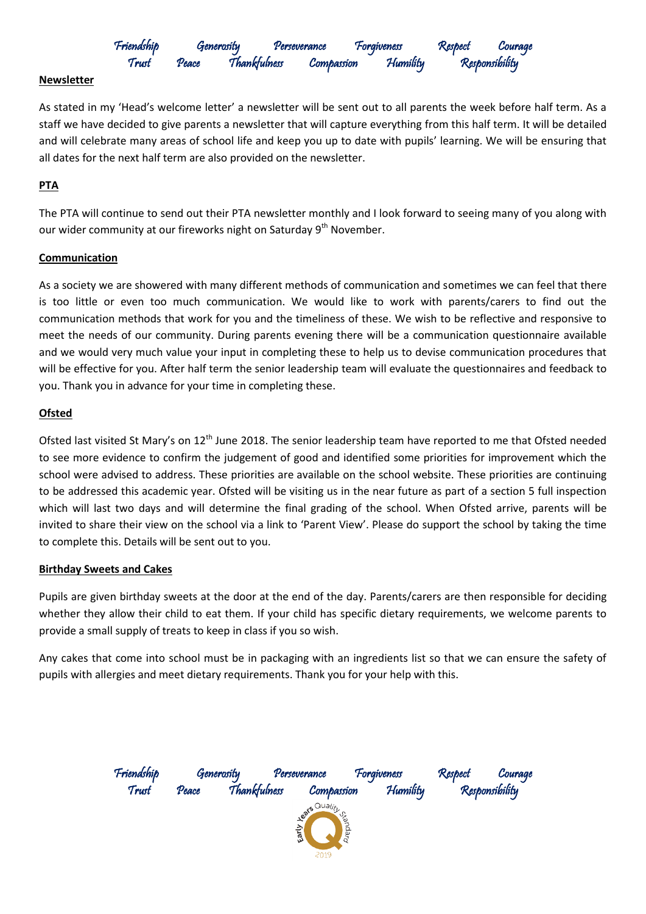# Friendship Generosity Perseverance Forgiveness Respect Courage Thankfulness Compassion Humility Responsibility

### **Newsletter**

As stated in my 'Head's welcome letter' a newsletter will be sent out to all parents the week before half term. As a staff we have decided to give parents a newsletter that will capture everything from this half term. It will be detailed and will celebrate many areas of school life and keep you up to date with pupils' learning. We will be ensuring that all dates for the next half term are also provided on the newsletter.

### **PTA**

The PTA will continue to send out their PTA newsletter monthly and I look forward to seeing many of you along with our wider community at our fireworks night on Saturday 9<sup>th</sup> November.

### **Communication**

As a society we are showered with many different methods of communication and sometimes we can feel that there is too little or even too much communication. We would like to work with parents/carers to find out the communication methods that work for you and the timeliness of these. We wish to be reflective and responsive to meet the needs of our community. During parents evening there will be a communication questionnaire available and we would very much value your input in completing these to help us to devise communication procedures that will be effective for you. After half term the senior leadership team will evaluate the questionnaires and feedback to you. Thank you in advance for your time in completing these.

### **Ofsted**

Ofsted last visited St Mary's on 12<sup>th</sup> June 2018. The senior leadership team have reported to me that Ofsted needed to see more evidence to confirm the judgement of good and identified some priorities for improvement which the school were advised to address. These priorities are available on the school website. These priorities are continuing to be addressed this academic year. Ofsted will be visiting us in the near future as part of a section 5 full inspection which will last two days and will determine the final grading of the school. When Ofsted arrive, parents will be invited to share their view on the school via a link to 'Parent View'. Please do support the school by taking the time to complete this. Details will be sent out to you.

### **Birthday Sweets and Cakes**

Pupils are given birthday sweets at the door at the end of the day. Parents/carers are then responsible for deciding whether they allow their child to eat them. If your child has specific dietary requirements, we welcome parents to provide a small supply of treats to keep in class if you so wish.

Any cakes that come into school must be in packaging with an ingredients list so that we can ensure the safety of pupils with allergies and meet dietary requirements. Thank you for your help with this.